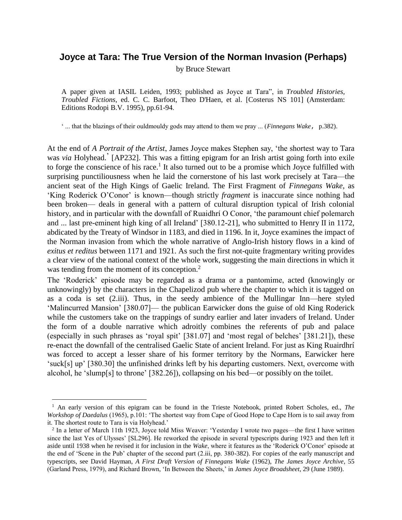## **Joyce at Tara: The True Version of the Norman Invasion (Perhaps)**

by Bruce Stewart

A paper given at IASIL Leiden, 1993; published as Joyce at Tara", in *Troubled Histories, Troubled Fictions*, ed. C. C. Barfoot, Theo D'Haen, et al. [Costerus NS 101] (Amsterdam: Editions Rodopi B.V. 1995), pp.61-94.

' ... that the blazings of their ouldmouldy gods may attend to them we pray ... (*Finnegans Wake*, p.382).

At the end of *A Portrait of the Artist*, James Joyce makes Stephen say, 'the shortest way to Tara was *via* Holyhead.' [AP232]. This was a fitting epigram for an Irish artist going forth into exile to forge the conscience of his race.<sup>1</sup> It also turned out to be a promise which Joyce fulfilled with surprising punctiliousness when he laid the cornerstone of his last work precisely at Tara—the ancient seat of the High Kings of Gaelic Ireland. The First Fragment of *Finnegans Wake*, as 'King Roderick O'Conor' is known—though strictly *fragment* is inaccurate since nothing had been broken— deals in general with a pattern of cultural disruption typical of Irish colonial history, and in particular with the downfall of Ruaidhrí O Conor, 'the paramount chief polemarch and ... last pre-eminent high king of all Ireland' [380.12-21], who submitted to Henry II in 1172, abdicated by the Treaty of Windsor in 1183, and died in 1196. In it, Joyce examines the impact of the Norman invasion from which the whole narrative of Anglo-Irish history flows in a kind of *exitus et reditus* between 1171 and 1921. As such the first not-quite fragmentary writing provides a clear view of the national context of the whole work, suggesting the main directions in which it was tending from the moment of its conception.<sup>2</sup>

The 'Roderick' episode may be regarded as a drama or a pantomime, acted (knowingly or unknowingly) by the characters in the Chapelizod pub where the chapter to which it is tagged on as a coda is set (2.iii). Thus, in the seedy ambience of the Mullingar Inn—here styled 'Malincurred Mansion' [380.07]— the publican Earwicker dons the guise of old King Roderick while the customers take on the trappings of sundry earlier and later invaders of Ireland. Under the form of a double narrative which adroitly combines the referents of pub and palace (especially in such phrases as 'royal spit' [381.07] and 'most regal of belches' [381.21]), these re-enact the downfall of the centralised Gaelic State of ancient Ireland. For just as King Ruairdhrí was forced to accept a lesser share of his former territory by the Normans, Earwicker here 'suck[s] up' [380.30] the unfinished drinks left by his departing customers. Next, overcome with alcohol, he 'slump[s] to throne' [382.26]), collapsing on his bed—or possibly on the toilet.

<sup>1</sup> An early version of this epigram can be found in the Trieste Notebook, printed Robert Scholes, ed., *The Workshop of Daedalus* (1965), p.101: 'The shortest way from Cape of Good Hope to Cape Horn is to sail away from it. The shortest route to Tara is via Holyhead.'

<sup>&</sup>lt;sup>2</sup> In a letter of March 11th 1923, Joyce told Miss Weaver: 'Yesterday I wrote two pages—the first I have written since the last Yes of Ulysses' [SL296]. He reworked the episode in several typescripts during 1923 and then left it aside until 1938 when he revised it for inclusion in the *Wake*, where it features as the 'Roderick O'Conor' episode at the end of 'Scene in the Pub' chapter of the second part (2.iii, pp. 380-382). For copies of the early manuscript and typescripts, see David Hayman, *A First Draft Version of Finnegans Wake* (1962), *The James Joyce Archive*, 55 (Garland Press, 1979), and Richard Brown, 'In Between the Sheets,' in *James Joyce Broadsheet*, 29 (June 1989).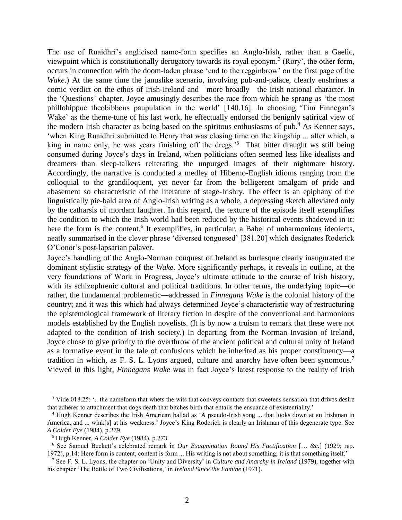The use of Ruaidhrí's anglicised name-form specifies an Anglo-Irish, rather than a Gaelic, viewpoint which is constitutionally derogatory towards its royal eponym.<sup>3</sup> (Rory', the other form, occurs in connection with the doom-laden phrase 'end to the regginbrow' on the first page of the *Wake*.) At the same time the januslike scenario, involving pub-and-palace, clearly enshrines a comic verdict on the ethos of Irish-Ireland and—more broadly—the Irish national character. In the 'Questions' chapter, Joyce amusingly describes the race from which he sprang as 'the most phillohippuc theobibbous paupulation in the world' [140.16]. In choosing 'Tim Finnegan's Wake' as the theme-tune of his last work, he effectually endorsed the benignly satirical view of the modern Irish character as being based on the spiritous enthusiasms of pub.<sup>4</sup> As Kenner says, 'when King Ruaidhrí submitted to Henry that was closing time on the kingship ... after which, a king in name only, he was years finishing off the dregs.<sup>5</sup> That bitter draught ws still being consumed during Joyce's days in Ireland, when politicians often seemed less like idealists and dreamers than sleep-talkers reiterating the unpurged images of their nightmare history. Accordingly, the narrative is conducted a medley of Hiberno-English idioms ranging from the colloquial to the grandiloquent, yet never far from the belligerent amalgam of pride and abasement so characteristic of the literature of stage-Irishry. The effect is an epiphany of the linguistically pie-bald area of Anglo-Irish writing as a whole, a depressing sketch alleviated only by the catharsis of mordant laughter. In this regard, the texture of the episode itself exemplifies the condition to which the Irish world had been reduced by the historical events shadowed in it: here the form is the content.<sup>6</sup> It exemplifies, in particular, a Babel of unharmonious ideolects, neatly summarised in the clever phrase 'diversed tonguesed' [381.20] which designates Roderick O'Conor's post-lapsarian palaver.

Joyce's handling of the Anglo-Norman conquest of Ireland as burlesque clearly inaugurated the dominant stylistic strategy of the *Wake*. More significantly perhaps, it reveals in outline, at the very foundations of Work in Progress, Joyce's ultimate attitude to the course of Irish history, with its schizophrenic cultural and political traditions. In other terms, the underlying topic—or rather, the fundamental problematic—addressed in *Finnegans Wake* is the colonial history of the country; and it was this which had always determined Joyce's characteristic way of restructuring the epistemological framework of literary fiction in despite of the conventional and harmonious models established by the English novelists. (It is by now a truism to remark that these were not adapted to the condition of Irish society.) In departing from the Norman Invasion of Ireland, Joyce chose to give priority to the overthrow of the ancient political and cultural unity of Ireland as a formative event in the tale of confusions which he inherited as his proper constituency—a tradition in which, as F. S. L. Lyons argued, culture and anarchy have often been synomous.<sup>7</sup> Viewed in this light, *Finnegans Wake* was in fact Joyce's latest response to the reality of Irish

<sup>&</sup>lt;sup>3</sup> Vide 018.25: '.. the nameform that whets the wits that conveys contacts that sweetens sensation that drives desire that adheres to attachment that dogs death that bitches birth that entails the ensuance of existentiality.'

<sup>4</sup> Hugh Kenner describes the Irish American ballad as 'A pseudo-Irish song ... that looks down at an Irishman in America, and ... wink[s] at his weakness.' Joyce's King Roderick is clearly an Irishman of this degenerate type. See *A Colder Eye* (1984), p.279.

<sup>5</sup> Hugh Kenner, *A Colder Eye* (1984), p.273.

<sup>6</sup> See Samuel Beckett's celebrated remark in *Our Exagmination Round His Factification* [… *&c.*] (1929; rep. 1972), p.14: Here form is content, content is form ... His writing is not about something; it is that something itself.'

<sup>7</sup> See F. S. L. Lyons, the chapter on 'Unity and Diversity' in *Culture and Anarchy in Ireland* (1979), together with his chapter 'The Battle of Two Civilisations,' in *Ireland Since the Famine* (1971).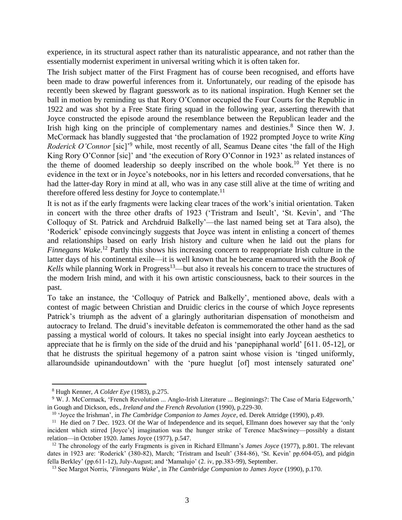experience, in its structural aspect rather than its naturalistic appearance, and not rather than the essentially modernist experiment in universal writing which it is often taken for.

The Irish subject matter of the First Fragment has of course been recognised, and efforts have been made to draw powerful inferences from it. Unfortunately, our reading of the episode has recently been skewed by flagrant guesswork as to its national inspiration. Hugh Kenner set the ball in motion by reminding us that Rory O'Connor occupied the Four Courts for the Republic in 1922 and was shot by a Free State firing squad in the following year, asserting therewith that Joyce constructed the episode around the resemblance between the Republican leader and the Irish high king on the principle of complementary names and destinies.<sup>8</sup> Since then W. J. McCormack has blandly suggested that 'the proclamation of 1922 prompted Joyce to write *King Roderick O'Connor* [sic]<sup>'9</sup> while, most recently of all, Seamus Deane cites 'the fall of the High King Rory O'Connor [sic]' and 'the execution of Rory O'Connor in 1923' as related instances of the theme of doomed leadership so deeply inscribed on the whole book.<sup>10</sup> Yet there is no evidence in the text or in Joyce's notebooks, nor in his letters and recorded conversations, that he had the latter-day Rory in mind at all, who was in any case still alive at the time of writing and therefore offered less destiny for Joyce to contemplate.<sup>11</sup>

It is not as if the early fragments were lacking clear traces of the work's initial orientation. Taken in concert with the three other drafts of 1923 ('Tristram and Iseult', 'St. Kevin', and 'The Colloquy of St. Patrick and Archdruid Balkelly'—the last named being set at Tara also), the 'Roderick' episode convincingly suggests that Joyce was intent in enlisting a concert of themes and relationships based on early Irish history and culture when he laid out the plans for *Finnegans Wake*. <sup>12</sup> Partly this shows his increasing concern to reappropriate Irish culture in the latter days of his continental exile—it is well known that he became enamoured with the *Book of Kells* while planning Work in Progress<sup>13</sup>—but also it reveals his concern to trace the structures of the modern Irish mind, and with it his own artistic consciousness, back to their sources in the past.

To take an instance, the 'Colloquy of Patrick and Balkelly', mentioned above, deals with a contest of magic between Christian and Druidic clerics in the course of which Joyce represents Patrick's triumph as the advent of a glaringly authoritarian dispensation of monotheism and autocracy to Ireland. The druid's inevitable defeaton is commemorated the other hand as the sad passing a mystical world of colours. It takes no special insight into early Joycean aesthetics to appreciate that he is firmly on the side of the druid and his 'panepiphanal world' [611. 05-12], or that he distrusts the spiritual hegemony of a patron saint whose vision is 'tinged uniformly, allaroundside upinandoutdown' with the 'pure hueglut [of] most intensely saturated *one*'

<sup>8</sup> Hugh Kenner, *A Colder Eye* (1983), p.275.

<sup>9</sup> W. J. McCormack, 'French Revolution ... Anglo-Irish Literature ... Beginnings?: The Case of Maria Edgeworth,' in Gough and Dickson, eds., *Ireland and the French Revolution* (1990), p.229-30.

<sup>10</sup> 'Joyce the Irishman', in *The Cambridge Companion to James Joyce*, ed. Derek Attridge (1990), p.49.

<sup>&</sup>lt;sup>11</sup> He died on 7 Dec. 1923. Of the War of Independence and its sequel, Ellmann does however say that the 'only incident which stirred [Joyce's] imagination was the hunger strike of Terence MacSwiney—possibly a distant relation—in October 1920. James Joyce (1977), p.547.

<sup>12</sup> The chronology of the early Fragments is given in Richard Ellmann's *James Joyce* (1977), p.801. The relevant dates in 1923 are: 'Roderick' (380-82), March; 'Tristram and Iseult' (384-86), 'St. Kevin' pp.604-05), and pidgin fella Berkley' (pp.611-12), July-August; and 'Mamalujo' (2. iv, pp.383-99), September.

<sup>13</sup> See Margot Norris, '*Finnegans Wake*', in *The Cambridge Companion to James Joyce* (1990), p.170.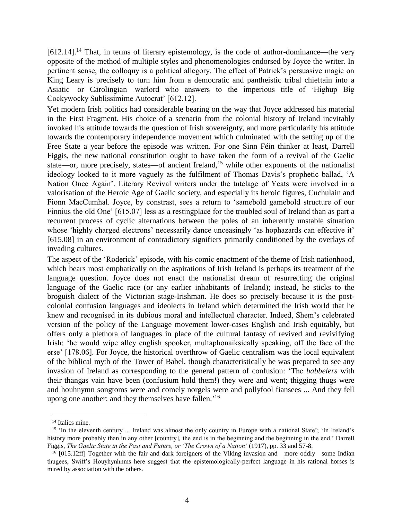$[612.14]$ .<sup>14</sup> That, in terms of literary epistemology, is the code of author-dominance—the very opposite of the method of multiple styles and phenomenologies endorsed by Joyce the writer. In pertinent sense, the colloquy is a political allegory. The effect of Patrick's persuasive magic on King Leary is precisely to turn him from a democratic and pantheistic tribal chieftain into a Asiatic—or Carolingian—warlord who answers to the imperious title of 'Highup Big Cockywocky Sublissimime Autocrat' [612.12].

Yet modern Irish politics had considerable bearing on the way that Joyce addressed his material in the First Fragment. His choice of a scenario from the colonial history of Ireland inevitably invoked his attitude towards the question of Irish sovereignty, and more particularily his attitude towards the contemporary independence movement which culminated with the setting up of the Free State a year before the episode was written. For one Sinn Féin thinker at least, Darrell Figgis, the new national constitution ought to have taken the form of a revival of the Gaelic state—or, more precisely, states—of ancient Ireland,<sup>15</sup> while other exponents of the nationalist ideology looked to it more vaguely as the fulfilment of Thomas Davis's prophetic ballad, 'A Nation Once Again'. Literary Revival writers under the tutelage of Yeats were involved in a valorisation of the Heroic Age of Gaelic society, and especially its heroic figures, Cuchulain and Fionn MacCumhal. Joyce, by constrast, sees a return to 'samebold gamebold structure of our Finnius the old One' [615.07] less as a restingplace for the troubled soul of Ireland than as part a recurrent process of cyclic alternations between the poles of an inherently unstable situation whose 'highly charged electrons' necessarily dance unceasingly 'as hophazards can effective it' [615.08] in an environment of contradictory signifiers primarily conditioned by the overlays of invading cultures.

The aspect of the 'Roderick' episode, with his comic enactment of the theme of Irish nationhood, which bears most emphatically on the aspirations of Irish Ireland is perhaps its treatment of the language question. Joyce does not enact the nationalist dream of resurrecting the original language of the Gaelic race (or any earlier inhabitants of Ireland); instead, he sticks to the broguish dialect of the Victorian stage-Irishman. He does so precisely because it is the postcolonial confusion languages and ideolects in Ireland which determined the Irish world that he knew and recognised in its dubious moral and intellectual character. Indeed, Shem's celebrated version of the policy of the Language movement lower-cases English and Irish equitably, but offers only a plethora of languages in place of the cultural fantasy of revived and revivifying Irish: 'he would wipe alley english spooker, multaphonaiksically speaking, off the face of the erse' [178.06]. For Joyce, the historical overthrow of Gaelic centralism was the local equivalent of the biblical myth of the Tower of Babel, though characteristically he was prepared to see any invasion of Ireland as corresponding to the general pattern of confusion: 'The *babbelers* with their thangas vain have been (confusium hold them!) they were and went; thigging thugs were and houhnymn songtoms were and comely norgels were and pollyfool fiansees ... And they fell upong one another: and they themselves have fallen.<sup>'16</sup>

<sup>&</sup>lt;sup>14</sup> Italics mine.

<sup>15</sup> 'In the eleventh century ... Ireland was almost the only country in Europe with a national State'; 'In Ireland's history more probably than in any other [country], the end is in the beginning and the beginning in the end.' Darrell Figgis, *The Gaelic State in the Past and Future, or 'The Crown of a Nation'* (1917), pp. 33 and 57-8.

<sup>&</sup>lt;sup>16</sup> [015.12ff] Together with the fair and dark foreigners of the Viking invasion and—more oddly—some Indian thugees, Swift's Houyhynhnms here suggest that the epistemologically-perfect language in his rational horses is mired by association with the others.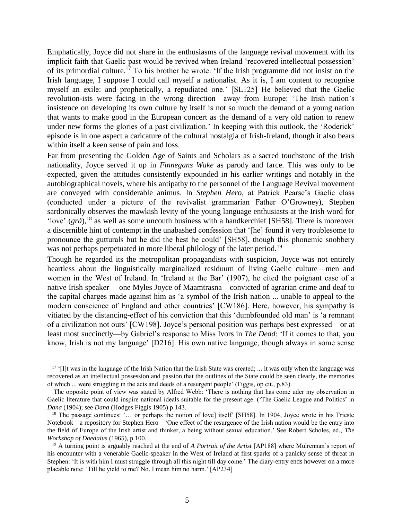Emphatically, Joyce did not share in the enthusiasms of the language revival movement with its implicit faith that Gaelic past would be revived when Ireland 'recovered intellectual possession' of its primordial culture.<sup>17</sup> To his brother he wrote: 'If the Irish programme did not insist on the Irish language, I suppose I could call myself a nationalist. As it is, I am content to recognise myself an exile: and prophetically, a repudiated one.' [SL125] He believed that the Gaelic revolution-ists were facing in the wrong direction—away from Europe: 'The Irish nation's insistence on developing its own culture by itself is not so much the demand of a young nation that wants to make good in the European concert as the demand of a very old nation to renew under new forms the glories of a past civilization.' In keeping with this outlook, the 'Roderick' episode is in one aspect a caricature of the cultural nostalgia of Irish-Ireland, though it also bears within itself a keen sense of pain and loss.

Far from presenting the Golden Age of Saints and Scholars as a sacred touchstone of the Irish nationality, Joyce served it up in *Finnegans Wake* as parody and farce. This was only to be expected, given the attitudes consistently expounded in his earlier writings and notably in the autobiographical novels, where his antipathy to the personnel of the Language Revival movement are conveyed with considerable animus. In *Stephen Hero*, at Patrick Pearse's Gaelic class (conducted under a picture of the revivalist grammarian Father O'Growney), Stephen sardonically observes the mawkish levity of the young language enthusiasts at the Irish word for 'love'  $(\text{gr}\hat{a})$ <sup>18</sup> as well as some uncouth business with a handkerchief [SH58]. There is moreover a discernible hint of contempt in the unabashed confession that '[he] found it very troublesome to pronounce the gutturals but he did the best he could' [SH58], though this phonemic snobbery was not perhaps perpetuated in more liberal philology of the later period.<sup>19</sup>

Though he regarded its the metropolitan propagandists with suspicion, Joyce was not entirely heartless about the linguistically marginalized residuum of living Gaelic culture—men and women in the West of Ireland. In 'Ireland at the Bar' (1907), he cited the poignant case of a native Irish speaker —one Myles Joyce of Maamtrasna—convicted of agrarian crime and deaf to the capital charges made against him as 'a symbol of the Irish nation ... unable to appeal to the modern conscience of England and other countries' [CW186]. Here, however, his sympathy is vitiated by the distancing-effect of his conviction that this 'dumbfounded old man' is 'a remnant of a civilization not ours' [CW198]. Joyce's personal position was perhaps best expressed—or at least most succinctly—by Gabriel's response to Miss Ivors in *The Dead*: 'If it comes to that, you know, Irish is not my language' [D216]. His own native language, though always in some sense

<sup>&</sup>lt;sup>17</sup> '[I]t was in the language of the Irish Nation that the Irish State was created; ... it was only when the language was recovered as an intellectual possession and passion that the outlines of the State could be seen clearly, the memories of which ... were struggling in the acts and deeds of a resurgent people' (Figgis, op cit., p.83).

The opposite point of view was stated by Alfred Webb: 'There is nothing that has come uder my observation in Gaelic literature that could inspire national ideals suitable for the present age. ('The Gaelic League and Politics' in *Dana* (1904); see *Dana* (Hodges Figgis 1905) p.143.

<sup>&</sup>lt;sup>18</sup> The passage continues: '... or perhaps the notion of love] itself' [SH58]. In 1904, Joyce wrote in his Trieste Notebook—a repository for Stephen Hero—'One effect of the resurgence of the Irish nation would be the entry into the field of Europe of the Irish artist and thinker, a being without sexual education.' See Robert Scholes, ed., *The Workshop of Daedalus* (1965), p.100.

<sup>19</sup> A turning point is arguably reached at the end of *A Portrait of the Artist* [AP188] where Mulrennan's report of his encounter with a venerable Gaelic-speaker in the West of Ireland at first sparks of a panicky sense of threat in Stephen: 'It is with him I must struggle through all this night till day come.' The diary-entry ends however on a more placable note: 'Till he yield to me? No. I mean him no harm.' [AP234]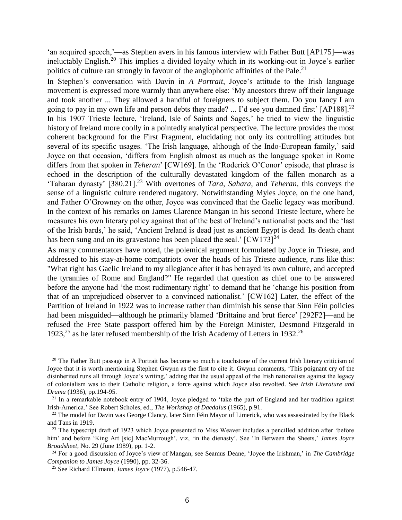'an acquired speech,'—as Stephen avers in his famous interview with Father Butt [AP175]—was ineluctably English.<sup>20</sup> This implies a divided loyalty which in its working-out in Joyce's earlier politics of culture ran strongly in favour of the anglophonic affinities of the Pale.<sup>21</sup>

In Stephen's conversation with Davin in *A Portrait*, Joyce's attitude to the Irish language movement is expressed more warmly than anywhere else: 'My ancestors threw off their language and took another ... They allowed a handful of foreigners to subject them. Do you fancy I am going to pay in my own life and person debts they made? ... I'd see you damned first' [AP188].<sup>22</sup> In his 1907 Trieste lecture, 'Ireland, Isle of Saints and Sages,' he tried to view the linguistic history of Ireland more coolly in a pointedly analytical perspective. The lecture provides the most coherent background for the First Fragment, elucidating not only its controlling attitudes but several of its specific usages. 'The Irish language, although of the Indo-European family,' said Joyce on that occasion, 'differs from English almost as much as the language spoken in Rome differs from that spoken in *Teheran*' [CW169]. In the 'Roderick O'Conor' episode, that phrase is echoed in the description of the culturally devastated kingdom of the fallen monarch as a 'Taharan dynasty' [380.21].<sup>23</sup> With overtones of *Tara*, *Sahara*, and *Teheran*, this conveys the sense of a linguistic culture rendered nugatory. Notwithstanding Myles Joyce, on the one hand, and Father O'Growney on the other, Joyce was convinced that the Gaelic legacy was moribund. In the context of his remarks on James Clarence Mangan in his second Trieste lecture, where he measures his own literary policy against that of the best of Ireland's nationalist poets and the 'last of the Irish bards,' he said, 'Ancient Ireland is dead just as ancient Egypt is dead. Its death chant has been sung and on its gravestone has been placed the seal.'  $[CW173]^{24}$ 

As many commentators have noted, the polemical argument formulated by Joyce in Trieste, and addressed to his stay-at-home compatriots over the heads of his Trieste audience, runs like this: "What right has Gaelic Ireland to my allegiance after it has betrayed its own culture, and accepted the tyrannies of Rome and England?" He regarded that question as chief one to be answered before the anyone had 'the most rudimentary right' to demand that he 'change his position from that of an unprejudiced observer to a convinced nationalist.' [CW162] Later, the effect of the Partition of Ireland in 1922 was to increase rather than diminish his sense that Sinn Féin policies had been misguided—although he primarily blamed 'Brittaine and brut fierce' [292F2]—and he refused the Free State passport offered him by the Foreign Minister, Desmond Fitzgerald in 1923,<sup>25</sup> as he later refused membership of the Irish Academy of Letters in 1932.<sup>26</sup>

<sup>&</sup>lt;sup>20</sup> The Father Butt passage in A Portrait has become so much a touchstone of the current Irish literary criticism of Joyce that it is worth mentioning Stephen Gwynn as the first to cite it. Gwynn comments, 'This poignant cry of the disinherited runs all through Joyce's writing,' adding that the usual appeal of the Irish nationalists against the legacy of colonialism was to their Catholic religion, a force against which Joyce also revolted. See *Irish Literature and Drama* (1936), pp.194-95.

 $21$  In a remarkable notebook entry of 1904, Joyce pledged to 'take the part of England and her tradition against Irish-America.' See Robert Scholes, ed., *The Workshop of Daedalus* (1965), p.91.

<sup>&</sup>lt;sup>22</sup> The model for Davin was George Clancy, later Sinn Féin Mayor of Limerick, who was assassinated by the Black and Tans in 1919.

<sup>&</sup>lt;sup>23</sup> The typescript draft of 1923 which Joyce presented to Miss Weaver includes a pencilled addition after 'before him' and before 'King Art [sic] MacMurrough', viz, 'in the dienasty'. See 'In Between the Sheets,' *James Joyce Broadsheet*, No. 29 (June 1989), pp. 1-2.

<sup>24</sup> For a good discussion of Joyce's view of Mangan, see Seamus Deane, 'Joyce the Irishman,' in *The Cambridge Companion to James Joyce* (1990), pp. 32-36.

<sup>25</sup> See Richard Ellmann, *James Joyce* (1977), p.546-47.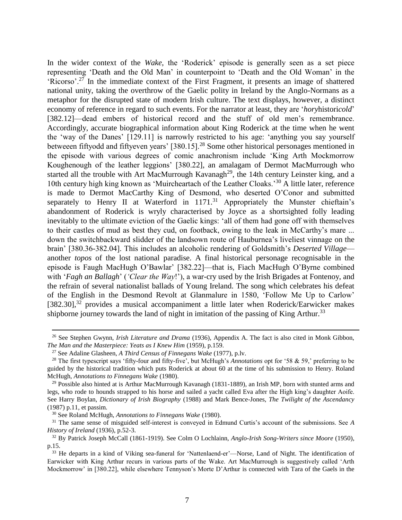In the wider context of the *Wake*, the 'Roderick' episode is generally seen as a set piece representing 'Death and the Old Man' in counterpoint to 'Death and the Old Woman' in the 'Ricorso'.<sup>27</sup> In the immediate context of the First Fragment, it presents an image of shattered national unity, taking the overthrow of the Gaelic polity in Ireland by the Anglo-Normans as a metaphor for the disrupted state of modern Irish culture. The text displays, however, a distinct economy of reference in regard to such events. For the narrator at least, they are '*hory*histori*cold*' [382.12]—dead embers of historical record and the stuff of old men's remembrance. Accordingly, accurate biographical information about King Roderick at the time when he went the 'way of the Danes' [129.11] is narrowly restricted to his age: 'anything you say yourself betweeen fiftyodd and fiftyeven years' [380.15].<sup>28</sup> Some other historical personages mentioned in the episode with various degrees of comic anachronism include 'King Arth Mockmorrow Koughenough of the leather leggions' [380.22], an amalagam of Dermot MacMurrough who started all the trouble with Art MacMurrough Kavanagh<sup>29</sup>, the 14th century Leinster king, and a 10th century high king known as 'Muircheartach of the Leather Cloaks.'<sup>30</sup> A little later, reference is made to Dermot MacCarthy King of Desmond, who deserted O'Conor and submitted separately to Henry II at Waterford in  $1171<sup>31</sup>$  Appropriately the Munster chieftain's abandonment of Roderick is wryly characterised by Joyce as a shortsighted folly leading inevitably to the ultimate eviction of the Gaelic kings: 'all of them had gone off with themselves to their castles of mud as best they cud, on footback, owing to the leak in McCarthy's mare ... down the switchbackward slidder of the landsown route of Hauburnea's liveliest vinnage on the brain' [380.36-382.04]. This includes an alcoholic rendering of Goldsmith's *Deserted Village* another *topos* of the lost national paradise. A final historical personage recognisable in the episode is Faugh MacHugh O'Bawlar' [382.22]—that is, Fiach MacHugh O'Byrne combined with '*Fagh an Ballagh*' (*'Clear the Way*!'), a war-cry used by the Irish Brigades at Fontenoy, and the refrain of several nationalist ballads of Young Ireland. The song which celebrates his defeat of the English in the Desmond Revolt at Glanmalure in 1580, 'Follow Me Up to Carlow'  $[382.30]$ ,<sup>32</sup> provides a musical accompaniment a little later when Roderick/Earwicker makes shipborne journey towards the land of night in imitation of the passing of King Arthur.<sup>33</sup>

<sup>26</sup> See Stephen Gwynn, *Irish Literature and Drama* (1936), Appendix A. The fact is also cited in Monk Gibbon, *The Man and the Masterpiece: Yeats as I Knew Him* (1959), p.159.

<sup>27</sup> See Adaline Glasheen, *A Third Census of Finnegans Wake* (1977), p.lv.

<sup>28</sup> The first typescript says 'fifty-four and fifty-five', but McHugh's *Annotations* opt for '58 & 59,' preferring to be guided by the historical tradition which puts Roderick at about 60 at the time of his submission to Henry. Roland McHugh, *Annotations to Finnegans Wake* (1980).

 $^{29}$  Possible also hinted at is Arthur MacMurrough Kavanagh (1831-1889), an Irish MP, born with stunted arms and legs, who rode to hounds strapped to his horse and sailed a yacht called Eva after the High king's daughter Aoife. See Harry Boylan, *Dictionary of Irish Biography* (1988) and Mark Bence-Jones, *The Twilight of the Ascendancy*  (1987) p.11, et passim.

<sup>30</sup> See Roland McHugh, *Annotations to Finnegans Wake* (1980).

<sup>31</sup> The same sense of misguided self-interest is conveyed in Edmund Curtis's account of the submissions. See *A History of Ireland* (1936), p.52-3.

<sup>32</sup> By Patrick Joseph McCall (1861-1919). See Colm O Lochlainn, *Anglo-Irish Song-Writers since Moore* (1950), p.15.

<sup>33</sup> He departs in a kind of Viking sea-funeral for 'Nattenlaend-er'—Norse, Land of Night. The identification of Earwicker with King Arthur recurs in various parts of the Wake. Art MacMurrough is suggestively called 'Arth Mockmorrow' in [380.22], while elsewhere Tennyson's Morte D'Arthur is connected with Tara of the Gaels in the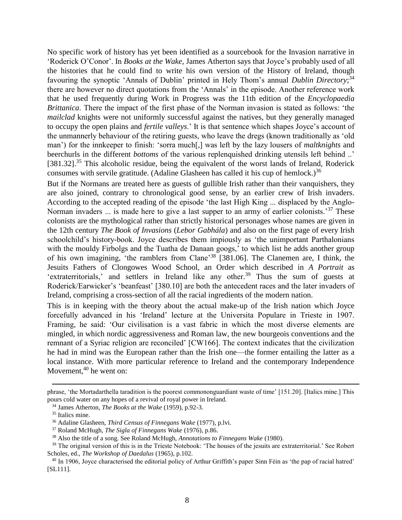No specific work of history has yet been identified as a sourcebook for the Invasion narrative in 'Roderick O'Conor'. In *Books at the Wake*, James Atherton says that Joyce's probably used of all the histories that he could find to write his own version of the History of Ireland, though favouring the synoptic 'Annals of Dublin' printed in Hely Thom's annual *Dublin Directory*; 34 there are however no direct quotations from the 'Annals' in the episode. Another reference work that he used frequently during Work in Progress was the 11th edition of the *Encyclopaedia Brittanica*. There the impact of the first phase of the Norman invasion is stated as follows: 'the *mailclad* knights were not uniformly successful against the natives, but they generally managed to occupy the open plains and *fertile valleys*.' It is that sentence which shapes Joyce's account of the unmannerly behaviour of the retiring guests, who leave the dregs (known traditionally as 'old man') for the innkeeper to finish: 'sorra much[,] was left by the lazy lousers of *maltknights* and beerchurls in the different *bottoms* of the various replenquished drinking utensils left behind ..' [381.32].<sup>35</sup> This alcoholic residue, being the equivalent of the worst lands of Ireland, Roderick consumes with servile gratitude. (Adaline Glasheen has called it his cup of hemlock.)<sup>36</sup>

But if the Normans are treated here as guests of gullible Irish rather than their vanquishers, they are also joined, contrary to chronological good sense, by an earlier crew of Irish invaders. According to the accepted reading of the episode 'the last High King ... displaced by the Anglo-Norman invaders ... is made here to give a last supper to an army of earlier colonists.<sup>37</sup> These colonists are the mythological rather than strictly historical personages whose names are given in the 12th century *The Book of Invasions* (*Lebor Gabhála*) and also on the first page of every Irish schoolchild's history-book. Joyce describes them impiously as 'the unimportant Parthalonians with the mouldy Firbolgs and the Tuatha de Danaan googs,' to which list he adds another group of his own imagining, 'the ramblers from Clane'<sup>38</sup> [381.06]. The Clanemen are, I think, the Jesuits Fathers of Clongowes Wood School, an Order which described in *A Portrait* as 'extraterritorials,' and settlers in Ireland like any other.<sup>39</sup> Thus the sum of guests at Roderick/Earwicker's 'beanfeast' [380.10] are both the antecedent races and the later invaders of Ireland, comprising a cross-section of all the racial ingredients of the modern nation.

This is in keeping with the theory about the actual make-up of the Irish nation which Joyce forcefully advanced in his 'Ireland' lecture at the Universita Populare in Trieste in 1907. Framing, he said: 'Our civilisation is a vast fabric in which the most diverse elements are mingled, in which nordic aggressiveness and Roman law, the new bourgeois conventions and the remnant of a Syriac religion are reconciled' [CW166]. The context indicates that the civilization he had in mind was the European rather than the Irish one—the former entailing the latter as a local instance. With more particular reference to Ireland and the contemporary Independence Movement, $40$  he went on:

phrase, 'the Mortadarthella taradition is the poorest commononguardiant waste of time' [151.20]. [Italics mine.] This pours cold water on any hopes of a revival of royal power in Ireland.

<sup>34</sup> James Atherton, *The Books at the Wake* (1959), p.92-3.

<sup>&</sup>lt;sup>35</sup> Italics mine.

<sup>36</sup> Adaline Glasheen, *Third Census of Finnegans Wake* (1977), p.lvi.

<sup>37</sup> Roland McHugh, *The Sigla of Finnegans Wake* (1976), p.86.

<sup>38</sup> Also the title of a song. See Roland McHugh, *Annotations to Finnegans Wake* (1980).

<sup>&</sup>lt;sup>39</sup> The original version of this is in the Trieste Notebook: 'The houses of the jesuits are extraterritorial.' See Robert Scholes, ed., *The Workshop of Daedalus* (1965), p.102.

<sup>&</sup>lt;sup>40</sup> In 1906, Joyce characterised the editorial policy of Arthur Griffith's paper Sinn Féin as 'the pap of racial hatred' [SL111].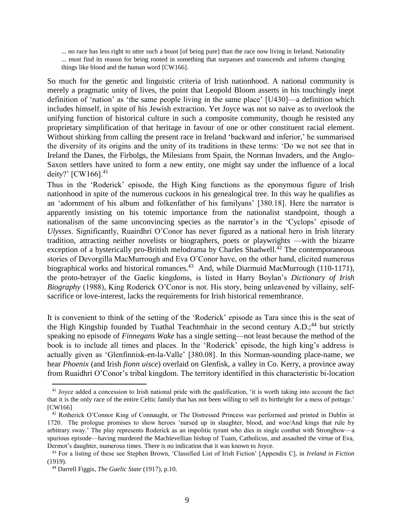... no race has less right to utter such a boast [of being pure] than the race now living in Ireland. Nationality ... must find its reason for being rooted in something that surpasses and transcends and informs changing things like blood and the human word [CW166].

So much for the genetic and linguistic criteria of Irish nationhood. A national community is merely a pragmatic unity of lives, the point that Leopold Bloom asserts in his touchingly inept definition of 'nation' as 'the same people living in the same place' [U430]—a definition which includes himself, in spite of his Jewish extraction. Yet Joyce was not so naive as to overlook the unifying function of historical culture in such a composite community, though he resisted any proprietary simplification of that heritage in favour of one or other constituent racial element. Without shirking from calling the present race in Ireland 'backward and inferior,' he summarised the diversity of its origins and the unity of its traditions in these terms: 'Do we not see that in Ireland the Danes, the Firbolgs, the Milesians from Spain, the Norman Invaders, and the Anglo-Saxon settlers have united to form a new entity, one might say under the influence of a local deity?'  $[CW166]$ .<sup>41</sup>

Thus in the 'Roderick' episode, the High King functions as the eponymous figure of Irish nationhood in spite of the numerous cuckoos in his genealogical tree. In this way he qualifies as an 'adornment of his album and folkenfather of his familyans' [380.18]. Here the narrator is apparently insisting on his totemic importance from the nationalist standpoint, though a nationalism of the same unconvincing species as the narrator's in the 'Cyclops' episode of *Ulysses*. Significantly, Ruairdhrí O'Conor has never figured as a national hero in Irish literary tradition, attracting neither novelists or biographers, poets or playwrights —with the bizarre exception of a hysterically pro-British melodrama by Charles Shadwell.<sup>42</sup> The contemporaneous stories of Devorgilla MacMurrough and Eva O'Conor have, on the other hand, elicited numerous biographical works and historical romances.<sup>43</sup> And, while Diarmuid MacMurrough (110-1171), the proto-betrayer of the Gaelic kingdoms, is listed in Harry Boylan's *Dictionary of Irish Biography* (1988), King Roderick O'Conor is not. His story, being unleavened by villainy, selfsacrifice or love-interest, lacks the requirements for Irish historical remembrance.

It is convenient to think of the setting of the 'Roderick' episode as Tara since this is the seat of the High Kingship founded by Tuathal Teachtmhair in the second century  $A.D.;<sup>44</sup>$  but strictly speaking no episode of *Finnegans Wake* has a single setting—not least because the method of the book is to include all times and places. In the 'Roderick' episode, the high king's address is actually given as 'Glenfinnisk-en-la-Valle' [380.08]. In this Norman-sounding place-name, we hear *Phoenix* (and Irish *fionn uisce*) overlaid on Glenfisk, a valley in Co. Kerry, a province away from Ruaidhrí O'Conor's tribal kingdom. The territory identified in this characteristic bi-location

<sup>&</sup>lt;sup>41</sup> Joyce added a concession to Irish national pride with the qualification, 'it is worth taking into account the fact that it is the only race of the entire Celtic family that has not been willing to sell its birthright for a mess of pottage.' [CW166]

<sup>42</sup> Rotherick O'Connor King of Connaught, or The Distressed Princess was performed and printed in Dublin in 1720. The prologue promises to show heroes 'nursed up in slaughter, blood, and woe/And kings that rule by arbitrary sway.' The play represents Roderick as an impolitic tyrant who dies in single combat with Strongbow—a spurious episode—having murdered the Machievellian bishop of Tuam, Catholicus, and assaulted the virtue of Eva, Dermot's daughter, numerous times. There is no indication that it was known to Joyce.

<sup>43</sup> For a listing of these see Stephen Brown, 'Classified List of Irish Fiction' [Appendix C], in *Ireland in Fiction*  (1919).

<sup>44</sup> Darrell Figgis, *The Gaelic State* (1917), p.10.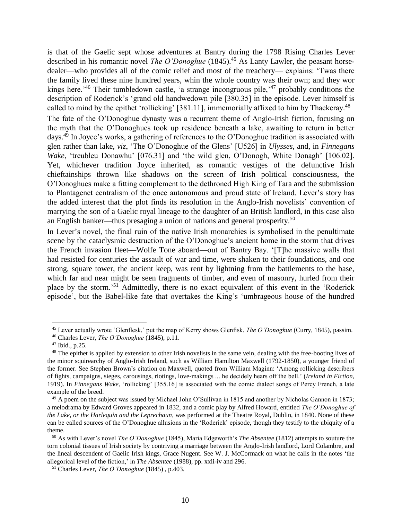is that of the Gaelic sept whose adventures at Bantry during the 1798 Rising Charles Lever described in his romantic novel *The O'Donoghue* (1845).<sup>45</sup> As Lanty Lawler, the peasant horsedealer—who provides all of the comic relief and most of the treachery— explains: 'Twas there the family lived these nine hundred years, whin the whole country was their own; and they wor kings here.<sup>'46</sup> Their tumbledown castle, 'a strange incongruous pile,<sup>'47</sup> probably conditions the description of Roderick's 'grand old handwedown pile [380.35] in the episode. Lever himself is called to mind by the epithet 'rollicking' [381.11], immemorially affixed to him by Thackeray.<sup>48</sup>

The fate of the O'Donoghue dynasty was a recurrent theme of Anglo-Irish fiction, focusing on the myth that the O'Donoghues took up residence beneath a lake, awaiting to return in better days.<sup>49</sup> In Joyce's works, a gathering of references to the O'Donoghue tradition is associated with glen rather than lake, *viz*, 'The O'Donoghue of the Glens' [U526] in *Ulysses*, and, in *Finnegans Wake*, 'treubleu Donawhu' [076.31] and 'the wild glen, O'Donogh, White Donagh' [106.02]. Yet, whichever tradition Joyce inherited, as romantic vestiges of the defunctive Irish chieftainships thrown like shadows on the screen of Irish political consciousness, the O'Donoghues make a fitting complement to the dethroned High King of Tara and the submission to Plantagenet centralism of the once autonomous and proud state of Ireland. Lever's story has the added interest that the plot finds its resolution in the Anglo-Irish novelists' convention of marrying the son of a Gaelic royal lineage to the daughter of an British landlord, in this case also an English banker—thus presaging a union of nations and general prosperity.<sup>50</sup>

In Lever's novel, the final ruin of the native Irish monarchies is symbolised in the penultimate scene by the cataclysmic destruction of the O'Donoghue's ancient home in the storm that drives the French invasion fleet—Wolfe Tone aboard—out of Bantry Bay. '[T]he massive walls that had resisted for centuries the assault of war and time, were shaken to their foundations, and one strong, square tower, the ancient keep, was rent by lightning from the battlements to the base, which far and near might be seen fragments of timber, and even of masonry, hurled from their place by the storm.'<sup>51</sup> Admittedly, there is no exact equivalent of this event in the 'Roderick episode', but the Babel-like fate that overtakes the King's 'umbrageous house of the hundred

<sup>45</sup> Lever actually wrote 'Glenflesk,' put the map of Kerry shows Glenfisk. *The O'Donoghue* (Curry, 1845), passim.

<sup>46</sup> Charles Lever, *The O'Donoghue* (1845), p.11.

<sup>47</sup> Ibid., p.25.

<sup>&</sup>lt;sup>48</sup> The epithet is applied by extension to other Irish novelists in the same vein, dealing with the free-booting lives of the minor squirearchy of Anglo-Irish Ireland, such as William Hamilton Maxwell (1792-1850), a younger friend of the former. See Stephen Brown's citation on Maxwell, quoted from William Maginn: 'Among rollicking describers of fights, campaigns, sieges, carousings, riotings, love-makings ... he decidely hears off the bell.' (*Ireland in Fiction*, 1919). In *Finnegans Wake*, 'rollicking' [355.16] is associated with the comic dialect songs of Percy French, a late example of the breed.

<sup>&</sup>lt;sup>49</sup> A poem on the subject was issued by Michael John O'Sullivan in 1815 and another by Nicholas Gannon in 1873; a melodrama by Edward Groves appeared in 1832, and a comic play by Alfred Howard, entitled *The O'Donoghue of the Lake, or the Harlequin and the Leprechaun*, was performed at the Theatre Royal, Dublin, in 1840. None of these can be called sources of the O'Donoghue allusions in the 'Roderick' episode, though they testify to the ubiquity of a theme.

<sup>50</sup> As with Lever's novel *The O'Donoghue* (1845), Maria Edgeworth's *The Absentee* (1812) attempts to souture the torn colonial tissues of Irish society by contriving a marriage between the Anglo-Irish landlord, Lord Colambre, and the lineal descendent of Gaelic Irish kings, Grace Nugent. See W. J. McCormack on what he calls in the notes 'the allegorical level of the fiction,' in *The Absentee* (1988), pp. xxii-iv and 296.

<sup>51</sup> Charles Lever, *The O'Donoghue* (1845) , p.403.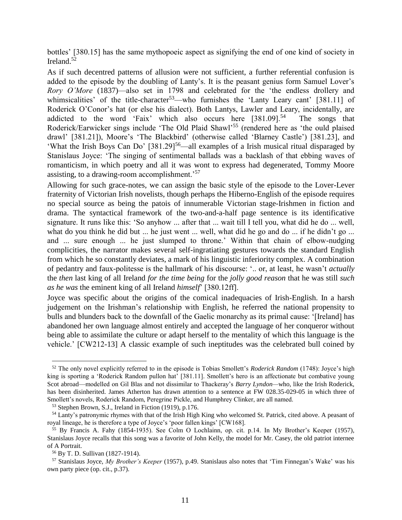bottles' [380.15] has the same mythopoeic aspect as signifying the end of one kind of society in Ireland.<sup>52</sup>

As if such decentred patterns of allusion were not sufficient, a further referential confusion is added to the episode by the doubling of Lanty's. It is the peasant genius form Samuel Lover's *Rory O'More* (1837)—also set in 1798 and celebrated for the 'the endless drollery and whimsicalities' of the title-character<sup>53</sup>—who furnishes the 'Lanty Leary cant' [381.11] of Roderick O'Conor's hat (or else his dialect). Both Lantys, Lawler and Leary, incidentally, are addicted to the word 'Faix' which also occurs here [381.09].<sup>54</sup> The songs that Roderick/Earwicker sings include 'The Old Plaid Shawl'<sup>55</sup> (rendered here as 'the ould plaised drawl' [381.21]), Moore's 'The Blackbird' (otherwise called 'Blarney Castle') [381.23], and 'What the Irish Boys Can Do'  $[381.29]^{56}$ —all examples of a Irish musical ritual disparaged by Stanislaus Joyce: 'The singing of sentimental ballads was a backlash of that ebbing waves of romanticism, in which poetry and all it was wont to express had degenerated, Tommy Moore assisting, to a drawing-room accomplishment.<sup>57</sup>

Allowing for such grace-notes, we can assign the basic style of the episode to the Lover-Lever fraternity of Victorian Irish novelists, though perhaps the Hiberno-English of the episode requires no special source as being the patois of innumerable Victorian stage-Irishmen in fiction and drama. The syntactical framework of the two-and-a-half page sentence is its identificative signature. It runs like this: 'So anyhow ... after that ... wait till I tell you, what did he do ... well, what do you think he did but ... he just went ... well, what did he go and do ... if he didn't go ... and ... sure enough ... he just slumped to throne.' Within that chain of elbow-nudging complicities, the narrator makes several self-ingratiating gestures towards the standard English from which he so constantly deviates, a mark of his linguistic inferiority complex. A combination of pedantry and faux-politesse is the hallmark of his discourse: '.. or, at least, he wasn't *actually* the *then* last king of all Ireland *for the time being* for the *jolly good reason* that he was still *such as he was* the eminent king of all Ireland *himself*' [380.12ff].

Joyce was specific about the origins of the comical inadequacies of Irish-English. In a harsh judgement on the Irishman's relationship with English, he referred the national propensity to bulls and blunders back to the downfall of the Gaelic monarchy as its primal cause: '[Ireland] has abandoned her own language almost entirely and accepted the language of her conqueror without being able to assimilate the culture or adapt herself to the mentality of which this language is the vehicle.' [CW212-13] A classic example of such ineptitudes was the celebrated bull coined by

<sup>53</sup> Stephen Brown, S.J., Ireland in Fiction (1919), p.176.

<sup>52</sup> The only novel explicitly referred to in the episode is Tobias Smollett's *Roderick Random* (1748): Joyce's high king is sporting a 'Roderick Random pullon hat' [381.11]. Smollett's hero is an affectionate but combative young Scot abroad—modelled on Gil Blas and not dissimilar to Thackeray's *Barry Lyndon—*who, like the Irish Roderick, has been disinherited. James Atherton has drawn attention to a sentence at FW 028.35-029-05 in which three of Smollett's novels, Roderick Random, Peregrine Pickle, and Humphrey Clinker, are all named.

<sup>&</sup>lt;sup>54</sup> Lanty's patronymic rhymes with that of the Irish High King who welcomed St. Patrick, cited above. A peasant of royal lineage, he is therefore a type of Joyce's 'poor fallen kings' [CW168].

<sup>55</sup> By Francis A. Fahy (1854-1935). See Colm O Lochlainn, op. cit. p.14. In My Brother's Keeper (1957), Stanislaus Joyce recalls that this song was a favorite of John Kelly, the model for Mr. Casey, the old patriot internee of A Portrait.

<sup>56</sup> By T. D. Sullivan (1827-1914).

<sup>57</sup> Stanislaus Joyce, *My Brother's Keeper* (1957), p.49. Stanislaus also notes that 'Tim Finnegan's Wake' was his own party piece (op. cit., p.37).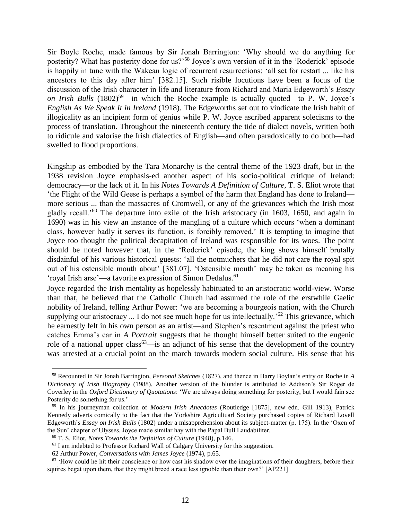Sir Boyle Roche, made famous by Sir Jonah Barrington: 'Why should we do anything for posterity? What has posterity done for us?'<sup>58</sup> Joyce's own version of it in the 'Roderick' episode is happily in tune with the Wakean logic of recurrent resurrections: 'all set for restart ... like his ancestors to this day after him' [382.15]. Such risible locutions have been a focus of the discussion of the Irish character in life and literature from Richard and Maria Edgeworth's *Essay on Irish Bulls*  $(1802)^{59}$ —in which the Roche example is actually quoted—to P. W. Joyce's *English As We Speak It in Ireland* (1918). The Edgeworths set out to vindicate the Irish habit of illogicality as an incipient form of genius while P. W. Joyce ascribed apparent solecisms to the process of translation. Throughout the nineteenth century the tide of dialect novels, written both to ridicule and valorise the Irish dialectics of English—and often paradoxically to do both—had swelled to flood proportions.

Kingship as embodied by the Tara Monarchy is the central theme of the 1923 draft, but in the 1938 revision Joyce emphasis-ed another aspect of his socio-political critique of Ireland: democracy—or the lack of it. In his *Notes Towards A Definition of Culture*, T. S. Eliot wrote that 'the Flight of the Wild Geese is perhaps a symbol of the harm that England has done to Ireland more serious ... than the massacres of Cromwell, or any of the grievances which the Irish most gladly recall.'<sup>60</sup> The departure into exile of the Irish aristocracy (in 1603, 1650, and again in 1690) was in his view an instance of the mangling of a culture which occurs 'when a dominant class, however badly it serves its function, is forcibly removed.' It is tempting to imagine that Joyce too thought the political decapitation of Ireland was responsible for its woes. The point should be noted however that, in the 'Roderick' episode, the king shows himself brutally disdainful of his various historical guests: 'all the notmuchers that he did not care the royal spit out of his ostensible mouth about' [381.07]. 'Ostensible mouth' may be taken as meaning his 'royal Irish arse'—a favorite expression of Simon Dedalus.<sup>61</sup>

Joyce regarded the Irish mentality as hopelessly habituated to an aristocratic world-view. Worse than that, he believed that the Catholic Church had assumed the role of the erstwhile Gaelic nobility of Ireland, telling Arthur Power: 'we are becoming a bourgeois nation, with the Church supplying our aristocracy ... I do not see much hope for us intellectually.<sup>'62</sup> This grievance, which he earnestly felt in his own person as an artist—and Stephen's resentment against the priest who catches Emma's ear in *A Portrait* suggests that he thought himself better suited to the eugenic role of a national upper class<sup>63</sup>—is an adjunct of his sense that the development of the country was arrested at a crucial point on the march towards modern social culture. His sense that his

<sup>58</sup> Recounted in Sir Jonah Barrington, *Personal Sketches* (1827), and thence in Harry Boylan's entry on Roche in *A Dictionary of Irish Biography* (1988). Another version of the blunder is attributed to Addison's Sir Roger de Coverley in the *Oxford Dictionary of Quotations*: 'We are always doing something for posterity, but I would fain see Posterity do something for us.'

<sup>59</sup> In his journeyman collection of *Modern Irish Anecdotes* (Routledge [1875], new edn. Gill 1913), Patrick Kennedy adverts comically to the fact that the Yorkshire Agricultuarl Society purchased copies of Richard Lovell Edgeworth's *Essay on Irish Bulls* (1802) under a misapprehension about its subject-matter (p. 175). In the 'Oxen of the Sun' chapter of Ulysses, Joyce made similar hay with the Papal Bull Laudabiliter.

<sup>60</sup> T. S. Eliot, *Notes Towards the Definition of Culture* (1948), p.146.

<sup>&</sup>lt;sup>61</sup> I am indebted to Professor Richard Wall of Calgary University for this suggestion.

<sup>62</sup> Arthur Power, *Conversations with James Joyce* (1974), p.65.

 $63$  'How could he hit their conscience or how cast his shadow over the imaginations of their daughters, before their squires begat upon them, that they might breed a race less ignoble than their own?' [AP221]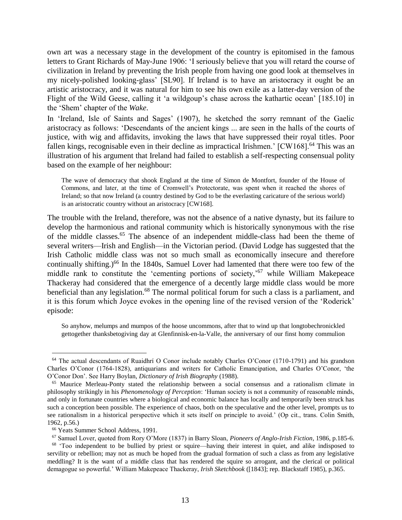own art was a necessary stage in the development of the country is epitomised in the famous letters to Grant Richards of May-June 1906: 'I seriously believe that you will retard the course of civilization in Ireland by preventing the Irish people from having one good look at themselves in my nicely-polished looking-glass' [SL90]. If Ireland is to have an aristocracy it ought be an artistic aristocracy, and it was natural for him to see his own exile as a latter-day version of the Flight of the Wild Geese, calling it 'a wildgoup's chase across the kathartic ocean' [185.10] in the 'Shem' chapter of the *Wake*.

In 'Ireland, Isle of Saints and Sages' (1907), he sketched the sorry remnant of the Gaelic aristocracy as follows: 'Descendants of the ancient kings ... are seen in the halls of the courts of justice, with wig and affidavits, invoking the laws that have suppressed their royal titles. Poor fallen kings, recognisable even in their decline as impractical Irishmen.' [CW168].<sup>64</sup> This was an illustration of his argument that Ireland had failed to establish a self-respecting consensual polity based on the example of her neighbour:

The wave of democracy that shook England at the time of Simon de Montfort, founder of the House of Commons, and later, at the time of Cromwell's Protectorate, was spent when it reached the shores of Ireland; so that now Ireland (a country destined by God to be the everlasting caricature of the serious world) is an aristocratic country without an aristocracy [CW168].

The trouble with the Ireland, therefore, was not the absence of a native dynasty, but its failure to develop the harmonious and rational community which is historically synonymous with the rise of the middle classes.<sup>65</sup> The absence of an independent middle-class had been the theme of several writers—Irish and English—in the Victorian period. (David Lodge has suggested that the Irish Catholic middle class was not so much small as economically insecure and therefore continually shifting.)<sup>66</sup> In the 1840s, Samuel Lover had lamented that there were too few of the middle rank to constitute the 'cementing portions of society,'<sup>67</sup> while William Makepeace Thackeray had considered that the emergence of a decently large middle class would be more beneficial than any legislation.<sup>68</sup> The normal political forum for such a class is a parliament, and it is this forum which Joyce evokes in the opening line of the revised version of the 'Roderick' episode:

So anyhow, melumps and mumpos of the hoose uncommons, after that to wind up that longtobechronickled gettogether thanksbetogiving day at Glenfinnisk-en-la-Valle, the anniversary of our finst homy commulion

<sup>64</sup> The actual descendants of Ruaidhrí O Conor include notably Charles O'Conor (1710-1791) and his grandson Charles O'Conor (1764-1828), antiquarians and writers for Catholic Emancipation, and Charles O'Conor, 'the O'Conor Don'. See Harry Boylan, *Dictionary of Irish Biography* (1988).

<sup>65</sup> Maurice Merleau-Ponty stated the relationship between a social consensus and a rationalism climate in philosophy strikingly in his *Phenomenology of Perception*: 'Human society is not a community of reasonable minds, and only in fortunate countries where a biological and economic balance has locally and temporarily been struck has such a conception been possible. The experience of chaos, both on the speculative and the other level, prompts us to see rationalism in a historical perspective which it sets itself on principle to avoid.' (Op cit., trans. Colin Smith, 1962, p.56.)

<sup>66</sup> Yeats Summer School Address, 1991.

<sup>67</sup> Samuel Lover, quoted from Rory O'More (1837) in Barry Sloan, *Pioneers of Anglo-Irish Fiction*, 1986, p.185-6.

<sup>68</sup> 'Too independent to be bullied by priest or squire—having their interest in quiet, and alike indisposed to servility or rebellion; may not as much be hoped from the gradual formation of such a class as from any legislative meddling? It is the want of a middle class that has rendered the squire so arrogant, and the clerical or political demagogue so powerful.' William Makepeace Thackeray, *Irish Sketchbook* ([1843]; rep. Blackstaff 1985), p.365.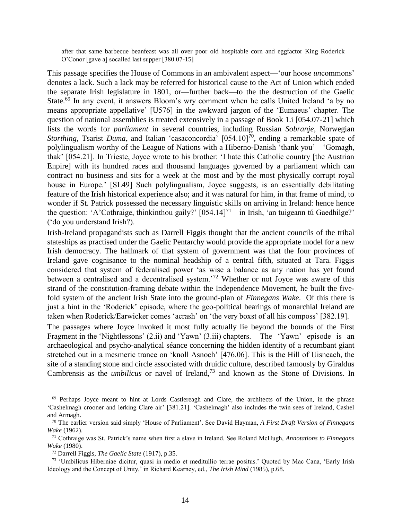after that same barbecue beanfeast was all over poor old hospitable corn and eggfactor King Roderick O'Conor [gave a] socalled last supper [380.07-15]

This passage specifies the House of Commons in an ambivalent aspect—'our hoose *un*commons' denotes a lack. Such a lack may be referred for historical cause to the Act of Union which ended the separate Irish legislature in 1801, or—further back—to the the destruction of the Gaelic State.<sup>69</sup> In any event, it answers Bloom's wry comment when he calls United Ireland 'a by no means appropriate appellative' [U576] in the awkward jargon of the 'Eumaeus' chapter. The question of national assemblies is treated extensively in a passage of Book 1.i [054.07-21] which lists the words for *parliament* in several countries, including Russian *Sobranje*, Norwegian *Storthing*, Tsarist *Duma*, and Italian 'casaconcordia' [054.10]<sup>70</sup>, ending a remarkable spate of polylingualism worthy of the League of Nations with a Hiberno-Danish 'thank you'—'Gomagh, thak' [054.21]. In Trieste, Joyce wrote to his brother: 'I hate this Catholic country [the Austrian Enpire] with its hundred races and thousand languages governed by a parliament which can contract no business and sits for a week at the most and by the most physically corrupt royal house in Europe.' [SL49] Such polylingualism, Joyce suggests, is an essentially debilitating feature of the Irish historical experience also; and it was natural for him, in that frame of mind, to wonder if St. Patrick possessed the necessary linguistic skills on arriving in Ireland: hence hence the question: 'A'Cothraige, thinkinthou gaily?'  $[054.14]^{71}$ —in Irish, 'an tuigeann tú Gaedhilge?' ('do you understand Irish?).

Irish-Ireland propagandists such as Darrell Figgis thought that the ancient councils of the tribal stateships as practised under the Gaelic Pentarchy would provide the appropriate model for a new Irish democracy. The hallmark of that system of government was that the four provinces of Ireland gave cognisance to the nominal headship of a central fifth, situated at Tara. Figgis considered that system of federalised power 'as wise a balance as any nation has yet found between a centralised and a decentralised system.'<sup>72</sup> Whether or not Joyce was aware of this strand of the constitution-framing debate within the Independence Movement, he built the fivefold system of the ancient Irish State into the ground-plan of *Finnegans Wake*. Of this there is just a hint in the 'Roderick' episode, where the geo-political bearings of monarchial Ireland are taken when Roderick/Earwicker comes 'acrash' on 'the very boxst of all his composs' [382.19].

The passages where Joyce invoked it most fully actually lie beyond the bounds of the First Fragment in the 'Nightlessons' (2.ii) and 'Yawn' (3.iii) chapters. The 'Yawn' episode is an archaeological and psycho-analytical séance concerning the hidden identity of a recumbant giant stretched out in a mesmeric trance on 'knoll Asnoch' [476.06]. This is the Hill of Uisneach, the site of a standing stone and circle associated with druidic culture, described famously by Giraldus Cambrensis as the *umbilicus* or navel of Ireland,<sup>73</sup> and known as the Stone of Divisions. In

Perhaps Joyce meant to hint at Lords Castlereagh and Clare, the architects of the Union, in the phrase 'Cashelmagh crooner and lerking Clare air' [381.21]. 'Cashelmagh' also includes the twin sees of Ireland, Cashel and Armagh.

<sup>70</sup> The earlier version said simply 'House of Parliament'. See David Hayman, *A First Draft Version of Finnegans Wake* (1962).

<sup>71</sup> Cothraige was St. Patrick's name when first a slave in Ireland. See Roland McHugh, *Annotations to Finnegans Wake* (1980).

<sup>72</sup> Darrell Figgis, *The Gaelic State* (1917), p.35.

<sup>73</sup> 'Umbilicus Hiberniae dicitur, quasi in medio et meditullio terrae positus.' Quoted by Mac Cana, 'Early Irish Ideology and the Concept of Unity,' in Richard Kearney, ed., *The Irish Mind* (1985), p.68.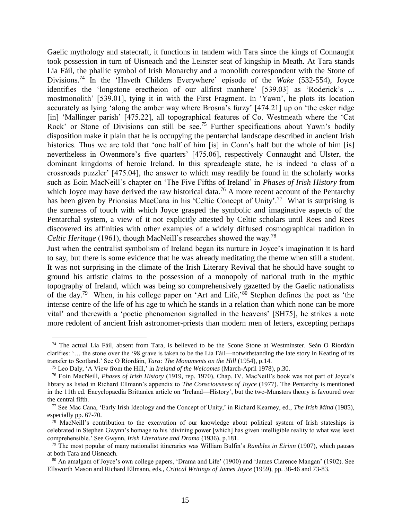Gaelic mythology and statecraft, it functions in tandem with Tara since the kings of Connaught took possession in turn of Uisneach and the Leinster seat of kingship in Meath. At Tara stands Lia Fáil, the phallic symbol of Irish Monarchy and a monolith correspondent with the Stone of Divisions.<sup>74</sup> In the 'Haveth Childers Everywhere' episode of the *Wake* (532-554), Joyce identifies the 'longstone erectheion of our allfirst manhere' [539.03] as 'Roderick's ... mostmonolith' [539.01], tying it in with the First Fragment. In 'Yawn', he plots its location accurately as lying 'along the amber way where Brosna's furzy' [474.21] up on 'the esker ridge [in] 'Mallinger parish' [475.22], all topographical features of Co. Westmeath where the 'Cat Rock' or Stone of Divisions can still be see.<sup>75</sup> Further specifications about Yawn's bodily disposition make it plain that he is occupying the pentarchal landscape described in ancient Irish histories. Thus we are told that 'one half of him [is] in Conn's half but the whole of him [is] nevertheless in Owenmore's five quarters' [475.06], respectively Connaught and Ulster, the dominant kingdoms of heroic Ireland. In this spreadeagle state, he is indeed 'a class of a crossroads puzzler' [475.04], the answer to which may readily be found in the scholarly works such as Eoin MacNeill's chapter on 'The Five Fifths of Ireland' in *Phases of Irish History* from which Joyce may have derived the raw historical data.<sup>76</sup> A more recent account of the Pentarchy has been given by Prionsias MacCana in his 'Celtic Concept of Unity'.<sup>77</sup> What is surprising is the sureness of touch with which Joyce grasped the symbolic and imaginative aspects of the Pentarchal system, a view of it not explicitly attested by Celtic scholars until Rees and Rees discovered its affinities with other examples of a widely diffused cosmographical tradition in *Celtic Heritage* (1961), though MacNeill's researches showed the way.<sup>78</sup>

Just when the centralist symbolism of Ireland began its nurture in Joyce's imagination it is hard to say, but there is some evidence that he was already meditating the theme when still a student. It was not surprising in the climate of the Irish Literary Revival that he should have sought to ground his artistic claims to the possession of a monopoly of national truth in the mythic topography of Ireland, which was being so comprehensively gazetted by the Gaelic nationalists of the day.<sup>79</sup> When, in his college paper on 'Art and Life,'<sup>80</sup> Stephen defines the poet as 'the intense centre of the life of his age to which he stands in a relation than which none can be more vital' and therewith a 'poetic phenomenon signalled in the heavens' [SH75], he strikes a note more redolent of ancient Irish astronomer-priests than modern men of letters, excepting perhaps

<sup>74</sup> The actual Lia Fáil, absent from Tara, is believed to be the Scone Stone at Westminster. Seán O Ríordáin clarifies: '… the stone over the '98 grave is taken to be the Lia Fáil—notwithstanding the late story in Keating of its transfer to Scotland.' See O Ríordáin, *Tara: The Monuments on the Hill* (1954), p.14.

<sup>75</sup> Leo Daly, 'A View from the Hill,' in *Ireland of the Welcomes* (March-April 1978), p.30.

<sup>76</sup> Eoin MacNeill, *Phases of Irish History* (1919, rep. 1970), Chap. IV. MacNeill's book was not part of Joyce's library as listed in Richard Ellmann's appendix to *The Consciousness of Joyce* (1977). The Pentarchy is mentioned in the 11th ed. Encyclopaedia Brittanica article on 'Ireland—History', but the two-Munsters theory is favoured over the central fifth.

<sup>77</sup> See Mac Cana, 'Early Irish Ideology and the Concept of Unity,' in Richard Kearney, ed., *The Irish Mind* (1985), especially pp. 67-70.

 $78$  MacNeill's contribution to the excavation of our knowledge about political system of Irish stateships is celebrated in Stephen Gwynn's homage to his 'divining power [which] has given intelligible reality to what was least comprehensible.' See Gwynn, *Irish Literature and Drama* (1936), p.181.

<sup>79</sup> The most popular of many nationalist itineraries was William Bulfin's *Rambles in Eirinn* (1907), which pauses at both Tara and Uisneach.

<sup>80</sup> An amalgam of Joyce's own college papers, 'Drama and Life' (1900) and 'James Clarence Mangan' (1902). See Ellsworth Mason and Richard Ellmann, eds., *Critical Writings of James Joyce* (1959), pp. 38-46 and 73-83.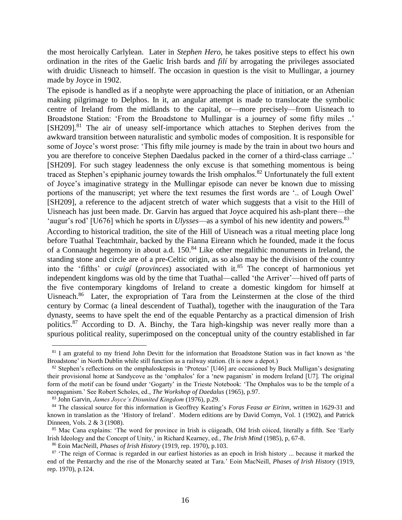the most heroically Carlylean. Later in *Stephen Hero*, he takes positive steps to effect his own ordination in the rites of the Gaelic Irish bards and *filí* by arrogating the privileges associated with druidic Uisneach to himself. The occasion in question is the visit to Mullingar, a journey made by Joyce in 1902.

The episode is handled as if a neophyte were approaching the place of initiation, or an Athenian making pilgrimage to Delphos. In it, an angular attempt is made to translocate the symbolic centre of Ireland from the midlands to the capital, or—more precisely—from Uisneach to Broadstone Station: 'From the Broadstone to Mullingar is a journey of some fifty miles ..'  $[SH209]$ <sup>81</sup>. The air of uneasy self-importance which attaches to Stephen derives from the awkward transition between naturalistic and symbolic modes of composition. It is responsible for some of Joyce's worst prose: 'This fifty mile journey is made by the train in about two hours and you are therefore to conceive Stephen Daedalus packed in the corner of a third-class carriage ..' [SH209]. For such stagey leadenness the only excuse is that something momentous is being traced as Stephen's epiphanic journey towards the Irish omphalos.<sup>82</sup> Unfortunately the full extent of Joyce's imaginative strategy in the Mullingar episode can never be known due to missing portions of the manuscript; yet where the text resumes the first words are '.. of Lough Owel' [SH209], a reference to the adjacent stretch of water which suggests that a visit to the Hill of Uisneach has just been made. Dr. Garvin has argued that Joyce acquired his ash-plant there—the 'augur's rod' [U676] which he sports in *Ulysses*—as a symbol of his new identity and powers.<sup>83</sup>

According to historical tradition, the site of the Hill of Uisneach was a ritual meeting place long before Tuathal Teachtmhair, backed by the Fianna Eireann which he founded, made it the focus of a Connaught hegemony in about a.d.  $150^{84}$  Like other megalithic monuments in Ireland, the standing stone and circle are of a pre-Celtic origin, as so also may be the division of the country into the 'fifths' or *cuigí* (*provinces*) associated with it.<sup>85</sup> The concept of harmonious yet independent kingdoms was old by the time that Tuathal—called 'the Arriver'—hived off parts of the five contemporary kingdoms of Ireland to create a domestic kingdom for himself at Uisneach.<sup>86</sup> Later, the expropriation of Tara from the Leinstermen at the close of the third century by Cormac (a lineal descendent of Tuathal), together with the inauguration of the Tara dynasty, seems to have spelt the end of the equable Pentarchy as a practical dimension of Irish politics.<sup>87</sup> According to D. A. Binchy, the Tara high-kingship was never really more than a spurious political reality, superimposed on the conceptual unity of the country established in far

<sup>&</sup>lt;sup>81</sup> I am grateful to my friend John Devitt for the information that Broadstone Station was in fact known as 'the Broadstone' in North Dublin while still function as a railway station. (It is now a depot.)

<sup>&</sup>lt;sup>82</sup> Stephen's reflections on the omphaloskepsis in 'Proteus' [U46] are occasioned by Buck Mulligan's designating their provisional home at Sandycove as the 'omphalos' for a 'new paganism' in modern Ireland [U7]. The original form of the motif can be found under 'Gogarty' in the Trieste Notebook: 'The Omphalos was to be the temple of a neopaganism.' See Robert Scholes, ed., *The Workshop of Daedalus* (1965), p.97.

<sup>83</sup> John Garvin, *James Joyce's Disunited Kingdom* (1976), p.29.

<sup>84</sup> The classical source for this information is Geoffrey Keating's *Foras Feasa ar Eirinn*, written in 1629-31 and known in translation as the 'History of Ireland'. Modern editions are by David Comyn, Vol. 1 (1902), and Patrick Dinneen, Vols. 2 & 3 (1908).

<sup>&</sup>lt;sup>85</sup> Mac Cana explains: 'The word for province in Irish is cúigeadh, Old Irish cóiced, literally a fifth. See 'Early Irish Ideology and the Concept of Unity,' in Richard Kearney, ed., *The Irish Mind* (1985), p, 67-8.

<sup>86</sup> Eoin MacNeill, *Phases of Irish History* (1919, rep. 1970), p.103.

<sup>87</sup> 'The reign of Cormac is regarded in our earliest histories as an epoch in Irish history ... because it marked the end of the Pentarchy and the rise of the Monarchy seated at Tara.' Eoin MacNeill, *Phases of Irish History* (1919, rep. 1970), p.124.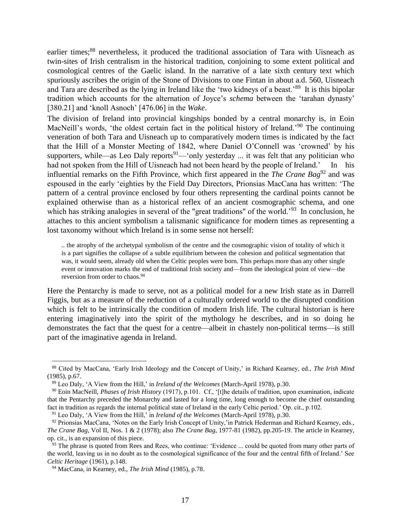earlier times;<sup>88</sup> nevertheless, it produced the traditional association of Tara with Uisneach as twin-sites of Irish centralism in the historical tradition, conjoining to some extent political and cosmological centres of the Gaelic island. In the narrative of a late sixth century text which spuriously ascribes the origin of the Stone of Divisions to one Fintan in about a.d. 560, Uisneach and Tara are described as the lying in Ireland like the 'two kidneys of a beast.'<sup>89</sup> It is this bipolar tradition which accounts for the alternation of Joyce's *schema* between the 'tarahan dynasty' [380.21] and 'knoll Asnoch' [476.06] in the *Wake*.

The division of Ireland into provincial kingships bonded by a central monarchy is, in Eoin MacNeill's words, 'the oldest certain fact in the political history of Ireland.'<sup>90</sup> The continuing veneration of both Tara and Uisneach up to comparatively modern times is indicated by the fact that the Hill of a Monster Meeting of 1842, where Daniel O'Connell was 'crowned' by his supporters, while—as Leo Daly reports<sup>91</sup>—'only yesterday ... it was felt that any politician who had not spoken from the Hill of Uisneach had not been heard by the people of Ireland.' In his influential remarks on the Fifth Province, which first appeared in the *The Crane Bag*<sup>92</sup> and was espoused in the early 'eighties by the Field Day Directors, Prionsias MacCana has written: 'The pattern of a central province enclosed by four others representing the cardinal points cannot be explained otherwise than as a historical reflex of an ancient cosmographic schema, and one which has striking analogies in several of the "great traditions" of the world.<sup>'93</sup> In conclusion, he attaches to this ancient symbolism a talismanic significance for modern times as representing a lost taxonomy without which Ireland is in some sense not herself:

.. the atrophy of the archetypal symbolism of the centre and the cosmographic vision of totality of which it is a part signifies the collapse of a subtle equilibrium between the cohesion and political segmentation that was, it would seem, already old when the Celtic peoples were born. This perhaps more than any other single event or innovation marks the end of traditional Irish society and—from the ideological point of view—the reversion from order to chaos.<sup>94</sup>

Here the Pentarchy is made to serve, not as a political model for a new Irish state as in Darrell Figgis, but as a measure of the reduction of a culturally ordered world to the disrupted condition which is felt to be intrinsically the condition of modern Irish life. The cultural historian is here entering imaginatively into the spirit of the mythology he describes, and in so doing he demonstrates the fact that the quest for a centre—albeit in chastely non-political terms—is still part of the imaginative agenda in Ireland.

<sup>88</sup> Cited by MacCana, 'Early Irish Ideology and the Concept of Unity,' in Richard Kearney, ed., *The Irish Mind*  (1985), p.67.

<sup>89</sup> Leo Daly, 'A View from the Hill,' in *Ireland of the Welcomes* (March-April 1978), p.30.

<sup>90</sup> Eoin MacNeill, *Phases of Irish History* (1917), p.101. Cf., '[t]he details of tradition, upon examination, indicate that the Pentarchy preceded the Monarchy and lasted for a long time, long enough to become the chief outstanding fact in tradition as regards the internal political state of Ireland in the early Celtic period.' Op. cit., p.102.

<sup>91</sup> Leo Daly, 'A View from the Hill,' in *Ireland of the Welcomes* (March-April 1978), p.30.

<sup>&</sup>lt;sup>92</sup> Prionsias MacCana, 'Notes on the Early Irish Concept of Unity,' in Patrick Hederman and Richard Kearney, eds., *The Crane Bag*, Vol II, Nos. 1 & 2 (1978); also *The Crane Bag*, 1977-81 (1982), pp.205-19. The article in Kearney, op. cit., is an expansion of this piece.

 $93$  The phrase is quoted from Rees and Rees, who continue: 'Evidence ... could be quoted from many other parts of the world, leaving us in no doubt as to the cosmological significance of the four and the central fifth of Ireland.' See *Celtic Heritage* (1961), p.148.

<sup>94</sup> MacCana, in Kearney, ed., *The Irish Mind* (1985), p.78.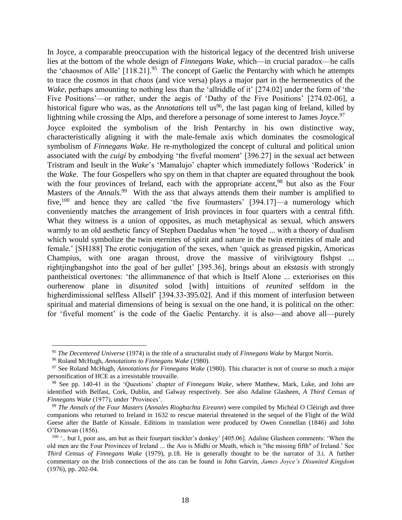In Joyce, a comparable preoccupation with the historical legacy of the decentred Irish universe lies at the bottom of the whole design of *Finnegans Wake*, which—in crucial paradox—he calls the 'chaosmos of Alle'  $[118.21]$ <sup>95</sup> The concept of Gaelic the Pentarchy with which he attempts to trace the *cosmos* in that *chaos* (and vice versa) plays a major part in the hermeneutics of the *Wake*, perhaps amounting to nothing less than the 'allriddle of it' [274.02] under the form of 'the Five Positions'—or rather, under the aegis of 'Dathy of the Five Positions' [274.02-06], a historical figure who was, as the *Annotations* tell us<sup>96</sup>, the last pagan king of Ireland, killed by lightning while crossing the Alps, and therefore a personage of some interest to James Joyce.<sup>97</sup>

Joyce exploited the symbolism of the Irish Pentarchy in his own distinctive way, characteristically aligning it with the male-female axis which dominates the cosmological symbolism of *Finnegans Wake*. He re-mythologized the concept of cultural and political union associated with the *cuigí* by embodying 'the fiveful moment' [396.27] in the sexual act between Tristram and Iseult in the *Wake*'s 'Mamalujo' chapter which immediately follows 'Roderick' in the *Wake*. The four Gospellers who spy on them in that chapter are equated throughout the book with the four provinces of Ireland, each with the appropriate accent,  $98$  but also as the Four Masters of the *Annals*.<sup>99</sup> With the ass that always attends them their number is amplified to five,<sup>100</sup> and hence they are called 'the five fourmasters'  $[394.17]$ —a numerology which conveniently matches the arrangement of Irish provinces in four quarters with a central fifth. What they witness is a union of opposites, as much metaphysical as sexual, which answers warmly to an old aesthetic fancy of Stephen Daedalus when 'he toyed ... with a theory of dualism which would symbolize the twin eternites of spirit and nature in the twin eternities of male and female.' [SH188] The erotic conjugation of the sexes, when 'quick as greased pigskin, Amoricas Champius, with one aragan throust, drove the massive of virilvigtoury flshpst ... rightjingbangshot into the goal of her gullet' [395.36], brings about an *ekstasis* with strongly pantheistical overtones: 'the allimmanence of that which is Itself Alone ... exteriorises on this ourherenow plane in *disunited* solod [with] intuitions of *reunited* selfdom in the higherdimissional selfless Allself' [394.33-395.02]. And if this moment of interfusion between spiritual and material dimensions of being is sexual on the one hand, it is political on the other: for 'fiveful moment' is the code of the Gaelic Pentarchy. it is also—and above all—purely

<sup>95</sup> *The Decentered Universe* (1974) is the title of a structuralist study of *Finnegans Wake* by Margot Norris.

<sup>96</sup> Roland McHugh, *Annotations to Finnegans Wake* (1980).

<sup>97</sup> See Roland McHugh, *Annotations for Finnegans Wake* (1980). This character is not of course so much a major personification of HCE as a irresistable trouvaille.

<sup>98</sup> See pp. 140-41 in the 'Questions' chapter of *Finnegans Wake*, where Matthew, Mark, Luke, and John are identified with Belfast, Cork, Dublin, and Galway respectively. See also Adaline Glasheen, *A Third Census of Finnegans Wake* (1977), under 'Provinces'.

<sup>99</sup> *The Annals of the Four Masters* (*Annales Rioghachta Eireann*) were compiled by Michéal O Cléirigh and three companions who returned to Ireland in 1632 to rescue material threatened in the sequel of the Flight of the Wild Geese after the Battle of Kinsale. Editions in translation were produced by Owen Connellan (1846) and John O'Donovan (1856).

<sup>100 &#</sup>x27;.. but I, poor ass, am but as their fourpart tinckler's donkey' [405.06]. Adaline Glasheen comments: 'When the old men are the Four Provinces of Ireland ... the Ass is Midhi or Meath, which is "the missing fifth" of Ireland.' See *Third Census of Finnegans Wake* (1979), p.18. He is generally thought to be the narrator of 3.i. A further commentary on the Irish connections of the ass can be found in John Garvin, *James Joyce's Disunited Kingdom*  (1976), pp. 202-04.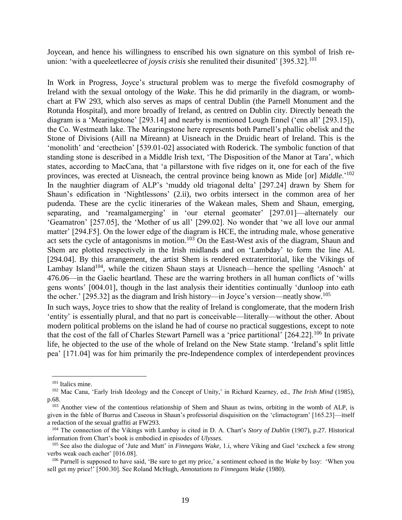Joycean, and hence his willingness to enscribed his own signature on this symbol of Irish reunion: 'with a queeleetlecree of *joysis crisis* she renulited their disunited' [395.32].<sup>101</sup>

In Work in Progress, Joyce's structural problem was to merge the fivefold cosmography of Ireland with the sexual ontology of the *Wake*. This he did primarily in the diagram, or wombchart at FW 293, which also serves as maps of central Dublin (the Parnell Monument and the Rotunda Hospital), and more broadly of Ireland, as centred on Dublin city. Directly beneath the diagram is a 'Mearingstone' [293.14] and nearby is mentioned Lough Ennel ('enn all' [293.15]), the Co. Westmeath lake. The Mearingstone here represents both Parnell's phallic obelisk and the Stone of Divisions (Aill na Míreann) at Uisneach in the Druidic heart of Ireland. This is the 'monolith' and 'erectheion' [539.01-02] associated with Roderick. The symbolic function of that standing stone is described in a Middle Irish text, 'The Disposition of the Manor at Tara', which states, according to MacCana, that 'a pillarstone with five ridges on it, one for each of the five provinces, was erected at Uisneach, the central province being known as Mide [or] *Middle*.'<sup>102</sup> In the naughtier diagram of ALP's 'muddy old triagonal delta' [297.24] drawn by Shem for Shaun's edification in 'Nightlessons' (2.ii), two orbits intersect in the common area of her pudenda. These are the cyclic itineraries of the Wakean males, Shem and Shaun, emerging, separating, and 'reamalgamerging' in 'our eternal geomater' [297.01]—alternately our 'Geamatron' [257.05], the 'Mother of us all' [299.02]. No wonder that 'we all love our anmal matter' [294.F5]. On the lower edge of the diagram is HCE, the intruding male, whose generative act sets the cycle of antagonisms in motion.<sup>103</sup> On the East-West axis of the diagram, Shaun and Shem are plotted respectively in the Irish midlands and on 'Lambday' to form the line AL [294.04]. By this arrangement, the artist Shem is rendered extraterritorial, like the Vikings of Lambay Island<sup>104</sup>, while the citizen Shaun stays at Uisneach—hence the spelling '*Asnoch*' at 476.06—in the Gaelic heartland. These are the warring brothers in all human conflicts of 'wills gens wonts' [004.01], though in the last analysis their identities continually 'dunloop into eath the ocher.' [295.32] as the diagram and Irish history—in Joyce's version—neatly show.<sup>105</sup>

In such ways, Joyce tries to show that the reality of Ireland is conglomerate, that the modern Irish 'entity' is essentially plural, and that no part is conceivable—literally—without the other. About modern political problems on the island he had of course no practical suggestions, except to note that the cost of the fall of Charles Stewart Parnell was a 'price partitional' [264.22].<sup>106</sup> In private life, he objected to the use of the whole of Ireland on the New State stamp. 'Ireland's split little pea' [171.04] was for him primarily the pre-Independence complex of interdependent provinces

<sup>&</sup>lt;sup>101</sup> Italics mine.

<sup>102</sup> Mac Cana, 'Early Irish Ideology and the Concept of Unity,' in Richard Kearney, ed., *The Irish Mind* (1985), p.68.

<sup>&</sup>lt;sup>103</sup> Another view of the contentious relationship of Shem and Shaun as twins, orbiting in the womb of ALP, is given in the fable of Burrus and Caseous in Shaun's professorial disquisition on the 'climactogram' [165.23]—itself a redaction of the sexual graffiti at FW293.

<sup>104</sup> The connection of the Vikings with Lambay is cited in D. A. Chart's *Story of Dublin* (1907), p.27. Historical information from Chart's book is embodied in episodes of *Ulysses*.

<sup>105</sup> See also the dialogue of 'Jute and Mutt' in *Finnegans Wake*, 1.i, where Viking and Gael 'excheck a few strong verbs weak oach eacher' [016.08].

<sup>106</sup> Parnell is supposed to have said, 'Be sure to get my price,' a sentiment echoed in the *Wake* by Issy: 'When you sell get my price!' [500.30]. See Roland McHugh, *Annotations to Finnegans Wake* (1980).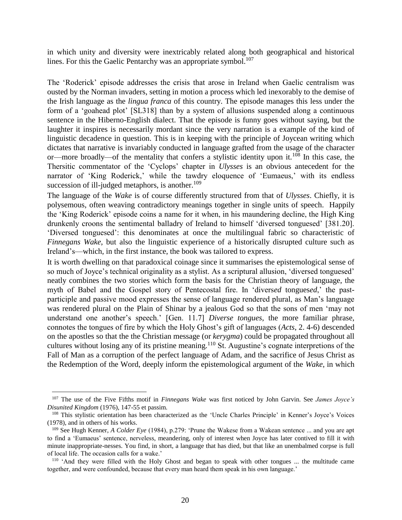in which unity and diversity were inextricably related along both geographical and historical lines. For this the Gaelic Pentarchy was an appropriate symbol.<sup>107</sup>

The 'Roderick' episode addresses the crisis that arose in Ireland when Gaelic centralism was ousted by the Norman invaders, setting in motion a process which led inexorably to the demise of the Irish language as the *lingua franca* of this country. The episode manages this less under the form of a 'goahead plot' [SL318] than by a system of allusions suspended along a continuous sentence in the Hiberno-English dialect. That the episode is funny goes without saying, but the laughter it inspires is necessarily mordant since the very narration is a example of the kind of linguistic decadence in question. This is in keeping with the principle of Joycean writing which dictates that narrative is invariably conducted in language grafted from the usage of the character or—more broadly—of the mentality that confers a stylistic identity upon it.<sup>108</sup> In this case, the Thersitic commentator of the 'Cyclops' chapter in *Ulysses* is an obvious antecedent for the narrator of 'King Roderick,' while the tawdry eloquence of 'Eumaeus,' with its endless succession of ill-judged metaphors, is another. $109$ 

The language of the *Wake* is of course differently structured from that of *Ulysses*. Chiefly, it is polysemous, often weaving contradictory meanings together in single units of speech. Happily the 'King Roderick' episode coins a name for it when, in his maundering decline, the High King drunkenly croons the sentimental balladry of Ireland to himself 'diversed tonguesed' [381.20]. 'Diversed tonguesed': this denominates at once the multilingual fabric so characteristic of *Finnegans Wake*, but also the linguistic experience of a historically disrupted culture such as Ireland's—which, in the first instance, the book was tailored to express.

It is worth dwelling on that paradoxical coinage since it summarises the epistemological sense of so much of Joyce's technical originality as a stylist. As a scriptural allusion, 'diversed tonguesed' neatly combines the two stories which form the basis for the Christian theory of language, the myth of Babel and the Gospel story of Pentecostal fire. In 'divers*ed* tongues*ed*,' the pastparticiple and passive mood expresses the sense of language rendered plural, as Man's language was rendered plural on the Plain of Shinar by a jealous God so that the sons of men 'may not understand one another's speech.' [Gen. 11.7] *Diverse tongues*, the more familiar phrase, connotes the tongues of fire by which the Holy Ghost's gift of languages (*Acts*, 2. 4-6) descended on the apostles so that the the Christian message (or *kerygma*) could be propagated throughout all cultures without losing any of its pristine meaning.<sup>110</sup> St. Augustine's cognate interpretions of the Fall of Man as a corruption of the perfect language of Adam, and the sacrifice of Jesus Christ as the Redemption of the Word, deeply inform the epistemological argument of the *Wake*, in which

<sup>107</sup> The use of the Five Fifths motif in *Finnegans Wake* was first noticed by John Garvin. See *James Joyce's Disunited Kingdom* (1976), 147-55 et passim.

<sup>108</sup> This stylistic orientation has been characterized as the 'Uncle Charles Principle' in Kenner's Joyce's Voices (1978), and in others of his works.

<sup>109</sup> See Hugh Kenner, *A Colder Eye* (1984), p.279: 'Prune the Wakese from a Wakean sentence ... and you are apt to find a 'Eumaeus' sentence, nerveless, meandering, only of interest when Joyce has later contived to fill it with minute inappropriate-nesses. You find, in short, a language that has died, but that like an unembalmed corpse is full of local life. The occasion calls for a wake.'

<sup>110</sup> 'And they were filled with the Holy Ghost and began to speak with other tongues ... the multitude came together, and were confounded, because that every man heard them speak in his own language.'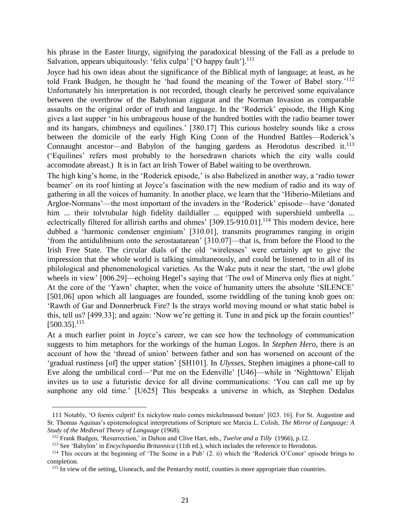his phrase in the Easter liturgy, signifying the paradoxical blessing of the Fall as a prelude to Salvation, appears ubiquitously: 'felix culpa'  $[$ 'O happy fault' $]$ .<sup>111</sup>

Joyce had his own ideas about the significance of the Biblical myth of language; at least, as he told Frank Budgen, he thought he 'had found the meaning of the Tower of Babel story.'<sup>112</sup> Unfortunately his interpretation is not recorded, though clearly he perceived some equivalance between the overthrow of the Babylonian ziggurat and the Norman Invasion as comparable assaults on the original order of truth and language. In the 'Roderick' episode, the High King gives a last supper 'in his umbrageous house of the hundred bottles with the radio beamer tower and its hangars, chimbneys and equilines.' [380.17] This curious hostelry sounds like a cross between the domicile of the early High King Conn of the Hundred Battles—Roderick's Connaught ancestor—and Babylon of the hanging gardens as Herodotus described it. $^{113}$ ('Equilines' refers most probably to the horsedrawn chariots which the city walls could accomodate abreast.) It is in fact an Irish Tower of Babel waiting to be overthrown.

The high king's home, in the 'Roderick episode,' is also Babelized in another way, a 'radio tower beamer' on its roof hinting at Joyce's fascination with the new medium of radio and its way of gathering in all the voices of humanity. In another place, we learn that the 'Hiberio-Miletians and Argloe-Normans'—the most important of the invaders in the 'Roderick' episode—have 'donated him ... their tolvtubular high fidelity daildialler ... equipped with supershield umbrella ... eclectrically filtered for allirish earths and ohmes' [309.15-910.01].<sup>114</sup> This modern device, here dubbed a 'harmonic condenser enginium' [310.01], transmits programmes ranging in origin 'from the antidulibnium onto the serostaatarean' [310.07]—that is, from before the Flood to the Irish Free State. The circular dials of the old 'wirelesses' were certainly apt to give the impression that the whole world is talking simultaneously, and could be listened to in all of its philological and phenomenological varieties. As the Wake puts it near the start, 'the owl globe wheels in view' [006.29]—echoing Hegel's saying that 'The owl of Minerva only flies at night.' At the core of the 'Yawn' chapter, when the voice of humanity utters the absolute 'SILENCE' [501.06] upon which all languages are founded, ssome twiddling of the tuning knob goes on: 'Rawth of Gar and Donnerbruck Fire? Is the strays world moving mound or what static babel is this, tell us? [499.33]; and again: 'Now we're getting it. Tune in and pick up the forain counties!'  $[500.35]$ <sup>115</sup>

At a much earlier point in Joyce's career, we can see how the technology of communication suggests to him metaphors for the workings of the human Logos. In *Stephen Hero*, there is an account of how the 'thread of union' between father and son has worsened on account of the 'gradual rustiness [of] the upper station' [SH101]. In *Ulysses*, Stephen imagines a phone-call to Eve along the umbilical cord—'Put me on the Edenville' [U46]—while in 'Nighttown' Elijah invites us to use a futuristic device for all divine communications: 'You can call me up by sunphone any old time.' [U625] This bespeaks a universe in which, as Stephen Dedalus

<sup>111</sup> Notably, 'O foenix culprit! Ex nickylow malo comes mickelmassed bonum' [023. 16]. For St. Augustine and St. Thomas Aquinas's epistemological interpretations of Scripture see Marcia L. Colish, *The Mirror of Language: A Study of the Medieval Theory of Language* (1968).

<sup>112</sup> Frank Budgen, 'Resurrection,' in Dalton and Clive Hart, eds., *Twelve and a Tilly* (1966), p.12.

<sup>113</sup> See 'Babylon' in *Encyclopaedia Britannica* (11th ed.), which includes the reference to Herodotus.

<sup>114</sup> This occurs at the beginning of 'The Scene in a Pub' (2. ii) which the 'Roderick O'Conor' episode brings to completion.

<sup>&</sup>lt;sup>115</sup> In view of the setting, Uisneach, and the Pentarchy motif, counties is more appropriate than countries.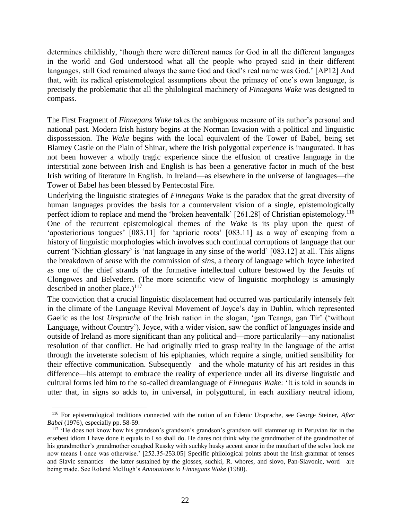determines childishly, 'though there were different names for God in all the different languages in the world and God understood what all the people who prayed said in their different languages, still God remained always the same God and God's real name was God.' [AP12] And that, with its radical epistemological assumptions about the primacy of one's own language, is precisely the problematic that all the philological machinery of *Finnegans Wake* was designed to compass.

The First Fragment of *Finnegans Wake* takes the ambiguous measure of its author's personal and national past. Modern Irish history begins at the Norman Invasion with a political and linguistic dispossession. The *Wake* begins with the local equivalent of the Tower of Babel, being set Blarney Castle on the Plain of Shinar, where the Irish polygottal experience is inaugurated. It has not been however a wholly tragic experience since the effusion of creative language in the interstitial zone between Irish and English is has been a generative factor in much of the best Irish writing of literature in English. In Ireland—as elsewhere in the universe of languages—the Tower of Babel has been blessed by Pentecostal Fire.

Underlying the linguistic strategies of *Finnegans Wake* is the paradox that the great diversity of human languages provides the basis for a countervalent vision of a single, epistemologically perfect idiom to replace and mend the 'broken heaventalk' [261.28] of Christian epistemology.<sup>116</sup> One of the recurrent epistemological themes of the *Wake* is its play upon the quest of 'aposteriorious tongues' [083.11] for 'aprioric roots' [083.11] as a way of escaping from a history of linguistic morphologies which involves such continual corruptions of language that our current 'Nichtian glossary' is 'nat language in any sinse of the world' [083.12] at all. This aligns the breakdown of *sense* with the commission of *sins*, a theory of language which Joyce inherited as one of the chief strands of the formative intellectual culture bestowed by the Jesuits of Clongowes and Belvedere. (The more scientific view of linguistic morphology is amusingly described in another place.) $117$ 

The conviction that a crucial linguistic displacement had occurred was particularily intensely felt in the climate of the Language Revival Movement of Joyce's day in Dublin, which represented Gaelic as the lost *Ursprache* of the Irish nation in the slogan, 'gan Teanga, gan Tír' ('without Language, without Country'). Joyce, with a wider vision, saw the conflict of languages inside and outside of Ireland as more significant than any political and—more particularily—any nationalist resolution of that conflict. He had originally tried to grasp reality in the language of the artist through the inveterate solecism of his epiphanies, which require a single, unified sensibility for their effective communication. Subsequently—and the whole maturity of his art resides in this difference—his attempt to embrace the reality of experience under all its diverse linguistic and cultural forms led him to the so-called dreamlanguage of *Finnegans Wake*: 'It is told in sounds in utter that, in signs so adds to, in universal, in polyguttural, in each auxiliary neutral idiom,

<sup>116</sup> For epistemological traditions connected with the notion of an Edenic Ursprache, see George Steiner, *After Babel* (1976), especially pp. 58-59.

<sup>117</sup> 'He does not know how his grandson's grandson's grandson's grandson will stammer up in Peruvian for in the ersebest idiom I have done it equals to I so shall do. He dares not think why the grandmother of the grandmother of his grandmother's grandmother coughed Russky with suchky husky accent since in the mouthart of the solve look me now means I once was otherwise.' [252.35-253.05] Specific philological points about the Irish grammar of tenses and Slavic semantics—the latter sustained by the glosses, suchki, R. whores, and slovo, Pan-Slavonic, word—are being made. See Roland McHugh's *Annotations to Finnegans Wake* (1980).